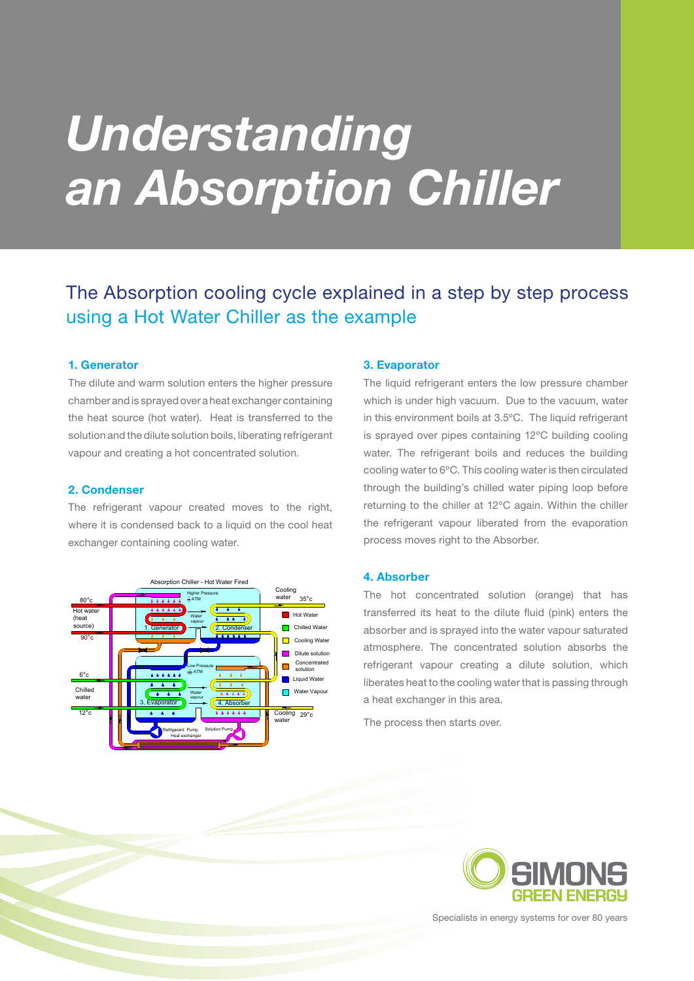# *Understanding an Absorption Chiller*

# The Absorption cooling cycle explained in a step by step process using a Hot Water Chiller as the example

### **1. Generator**

The dilute and warm solution enters the higher pressure chamber and is sprayed over a heat exchanger containing the heat source (hot water). Heat is transferred to the solution and the dilute solution boils, liberating refrigerant vapour and creating a hot concentrated solution.

### **2. Condenser**

The refrigerant vapour created moves to the right, where it is condensed back to a liquid on the cool heat exchanger containing cooling water.



### **3. Evaporator**

The liquid refrigerant enters the low pressure chamber which is under high vacuum. Due to the vacuum, water in this environment boils at 3.5ºC. The liquid refrigerant is sprayed over pipes containing 12ºC building cooling water. The refrigerant boils and reduces the building cooling water to 6ºC. This cooling water is then circulated through the building's chilled water piping loop before returning to the chiller at 12ºC again. Within the chiller the refrigerant vapour liberated from the evaporation process moves right to the Absorber.

### **4. Absorber**

The hot concentrated solution (orange) that has transferred its heat to the dilute fluid (pink) enters the absorber and is sprayed into the water vapour saturated atmosphere. The concentrated solution absorbs the refrigerant vapour creating a dilute solution, which liberates heat to the cooling water that is passing through a heat exchanger in this area.

The process then starts over.



Specialists in energy systems for over 80 years